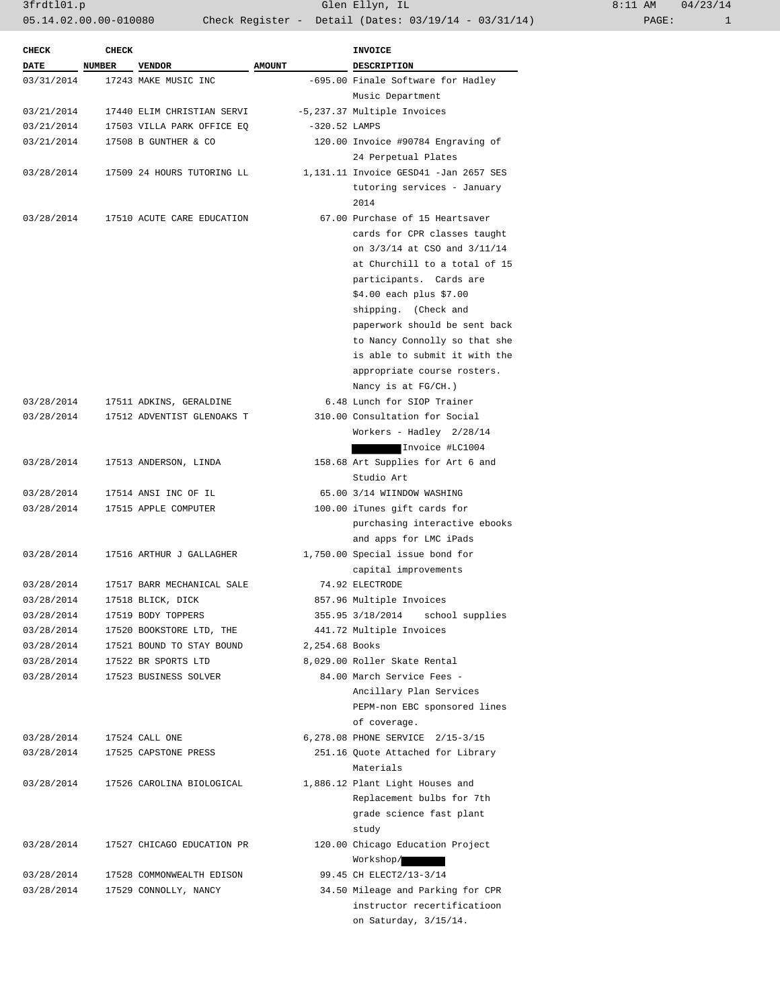3frdtl01.p Glen Ellyn, IL 8:11 AM 04/23/14 05.14.02.00.00-010080 Check Register - Detail (Dates: 03/19/14 - 03/31/14)

| <b>CHECK</b> | <b>CHECK</b> |                            |                 | <b>INVOICE</b>                        |
|--------------|--------------|----------------------------|-----------------|---------------------------------------|
| <b>DATE</b>  | NUMBER       | <b>VENDOR</b>              | <b>AMOUNT</b>   | <b>DESCRIPTION</b>                    |
| 03/31/2014   |              | 17243 MAKE MUSIC INC       |                 | -695.00 Finale Software for Hadley    |
|              |              |                            |                 | Music Department                      |
| 03/21/2014   |              | 17440 ELIM CHRISTIAN SERVI |                 | -5,237.37 Multiple Invoices           |
| 03/21/2014   |              | 17503 VILLA PARK OFFICE EQ | $-320.52$ LAMPS |                                       |
| 03/21/2014   |              | 17508 B GUNTHER & CO       |                 | 120.00 Invoice #90784 Engraving of    |
|              |              |                            |                 | 24 Perpetual Plates                   |
| 03/28/2014   |              | 17509 24 HOURS TUTORING LL |                 | 1,131.11 Invoice GESD41 -Jan 2657 SES |
|              |              |                            |                 | tutoring services - January           |
|              |              |                            |                 | 2014                                  |
| 03/28/2014   |              | 17510 ACUTE CARE EDUCATION |                 | 67.00 Purchase of 15 Heartsaver       |
|              |              |                            |                 | cards for CPR classes taught          |
|              |              |                            |                 | on 3/3/14 at CSO and 3/11/14          |
|              |              |                            |                 | at Churchill to a total of 15         |
|              |              |                            |                 | participants. Cards are               |
|              |              |                            |                 | \$4.00 each plus \$7.00               |
|              |              |                            |                 | shipping. (Check and                  |
|              |              |                            |                 | paperwork should be sent back         |
|              |              |                            |                 | to Nancy Connolly so that she         |
|              |              |                            |                 | is able to submit it with the         |
|              |              |                            |                 | appropriate course rosters.           |
|              |              |                            |                 | Nancy is at FG/CH.)                   |
| 03/28/2014   |              | 17511 ADKINS, GERALDINE    |                 | 6.48 Lunch for SIOP Trainer           |
| 03/28/2014   |              | 17512 ADVENTIST GLENOAKS T |                 | 310.00 Consultation for Social        |
|              |              |                            |                 | Workers - Hadley 2/28/14              |
|              |              |                            |                 | Invoice #LC1004                       |
| 03/28/2014   |              | 17513 ANDERSON, LINDA      |                 | 158.68 Art Supplies for Art 6 and     |
|              |              |                            |                 | Studio Art                            |
| 03/28/2014   |              | 17514 ANSI INC OF IL       |                 | 65.00 3/14 WIINDOW WASHING            |
| 03/28/2014   |              | 17515 APPLE COMPUTER       |                 | 100.00 iTunes gift cards for          |
|              |              |                            |                 | purchasing interactive ebooks         |
|              |              |                            |                 | and apps for LMC iPads                |
| 03/28/2014   |              | 17516 ARTHUR J GALLAGHER   |                 | 1,750.00 Special issue bond for       |
|              |              |                            |                 | capital improvements                  |
| 03/28/2014   |              | 17517 BARR MECHANICAL SALE |                 | 74.92 ELECTRODE                       |
| 03/28/2014   |              | 17518 BLICK, DICK          |                 | 857.96 Multiple Invoices              |
| 03/28/2014   |              | 17519 BODY TOPPERS         |                 | 355.95 3/18/2014<br>school supplies   |
| 03/28/2014   |              | 17520 BOOKSTORE LTD, THE   |                 | 441.72 Multiple Invoices              |
| 03/28/2014   |              | 17521 BOUND TO STAY BOUND  | 2,254.68 Books  |                                       |
| 03/28/2014   |              | 17522 BR SPORTS LTD        |                 | 8,029.00 Roller Skate Rental          |
| 03/28/2014   |              | 17523 BUSINESS SOLVER      |                 | 84.00 March Service Fees -            |
|              |              |                            |                 | Ancillary Plan Services               |
|              |              |                            |                 | PEPM-non EBC sponsored lines          |
|              |              |                            |                 | of coverage.                          |
| 03/28/2014   |              | 17524 CALL ONE             |                 | 6, 278.08 PHONE SERVICE 2/15-3/15     |
| 03/28/2014   |              | 17525 CAPSTONE PRESS       |                 | 251.16 Ouote Attached for Library     |
|              |              |                            |                 | Materials                             |
| 03/28/2014   |              | 17526 CAROLINA BIOLOGICAL  |                 | 1,886.12 Plant Light Houses and       |
|              |              |                            |                 | Replacement bulbs for 7th             |
|              |              |                            |                 | grade science fast plant              |
|              |              |                            |                 | study                                 |
| 03/28/2014   |              | 17527 CHICAGO EDUCATION PR |                 | 120.00 Chicago Education Project      |
|              |              |                            |                 |                                       |
|              |              |                            |                 | Workshop/                             |
| 03/28/2014   |              | 17528 COMMONWEALTH EDISON  |                 | 99.45 CH ELECT2/13-3/14               |
| 03/28/2014   |              | 17529 CONNOLLY, NANCY      |                 | 34.50 Mileage and Parking for CPR     |
|              |              |                            |                 | instructor recertificatioon           |
|              |              |                            |                 | on Saturday, 3/15/14.                 |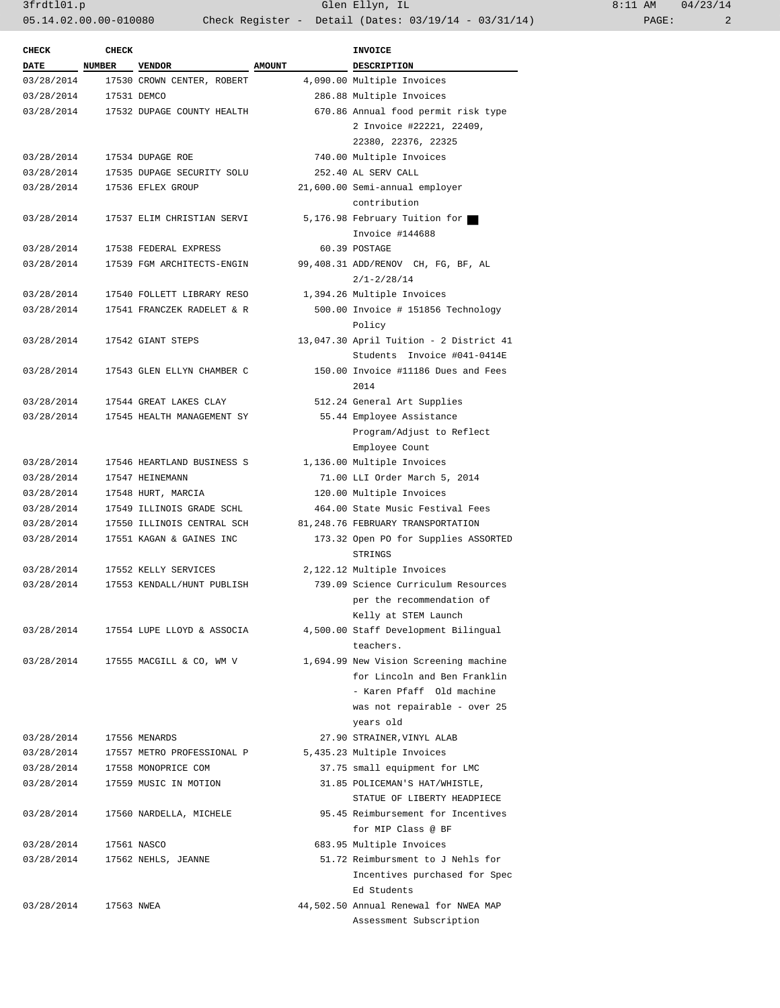3frdtl01.p Glen Ellyn, IL 8:11 AM 04/23/14 05.14.02.00.00-010080 Check Register - Detail (Dates: 03/19/14 - 03/31/14) PAGE: 2

| <b>CHECK</b> | <b>CHECK</b>  |                            |               | <b>INVOICE</b>                                                         |
|--------------|---------------|----------------------------|---------------|------------------------------------------------------------------------|
| <b>DATE</b>  | <b>NUMBER</b> | <b>VENDOR</b>              | <b>AMOUNT</b> | <b>DESCRIPTION</b>                                                     |
| 03/28/2014   |               | 17530 CROWN CENTER, ROBERT |               | 4,090.00 Multiple Invoices                                             |
| 03/28/2014   |               | 17531 DEMCO                |               | 286.88 Multiple Invoices                                               |
| 03/28/2014   |               | 17532 DUPAGE COUNTY HEALTH |               | 670.86 Annual food permit risk type                                    |
|              |               |                            |               | 2 Invoice #22221, 22409,                                               |
|              |               |                            |               | 22380, 22376, 22325                                                    |
| 03/28/2014   |               | 17534 DUPAGE ROE           |               | 740.00 Multiple Invoices                                               |
| 03/28/2014   |               | 17535 DUPAGE SECURITY SOLU |               | 252.40 AL SERV CALL                                                    |
| 03/28/2014   |               | 17536 EFLEX GROUP          |               | 21,600.00 Semi-annual employer                                         |
|              |               |                            |               | contribution                                                           |
| 03/28/2014   |               | 17537 ELIM CHRISTIAN SERVI |               | 5,176.98 February Tuition for                                          |
|              |               |                            |               | Invoice #144688                                                        |
| 03/28/2014   |               | 17538 FEDERAL EXPRESS      |               | 60.39 POSTAGE                                                          |
| 03/28/2014   |               | 17539 FGM ARCHITECTS-ENGIN |               | 99,408.31 ADD/RENOV CH, FG, BF, AL                                     |
|              |               |                            |               | $2/1 - 2/28/14$                                                        |
| 03/28/2014   |               | 17540 FOLLETT LIBRARY RESO |               | 1,394.26 Multiple Invoices                                             |
| 03/28/2014   |               | 17541 FRANCZEK RADELET & R |               | 500.00 Invoice # 151856 Technology                                     |
|              |               |                            |               | Policy                                                                 |
| 03/28/2014   |               | 17542 GIANT STEPS          |               | 13,047.30 April Tuition - 2 District 41<br>Students Invoice #041-0414E |
| 03/28/2014   |               | 17543 GLEN ELLYN CHAMBER C |               | 150.00 Invoice #11186 Dues and Fees<br>2014                            |
| 03/28/2014   |               | 17544 GREAT LAKES CLAY     |               | 512.24 General Art Supplies                                            |
| 03/28/2014   |               | 17545 HEALTH MANAGEMENT SY |               | 55.44 Employee Assistance                                              |
|              |               |                            |               | Program/Adjust to Reflect                                              |
|              |               |                            |               | Employee Count                                                         |
| 03/28/2014   |               | 17546 HEARTLAND BUSINESS S |               | 1,136.00 Multiple Invoices                                             |
| 03/28/2014   |               | 17547 HEINEMANN            |               | 71.00 LLI Order March 5, 2014                                          |
| 03/28/2014   |               | 17548 HURT, MARCIA         |               |                                                                        |
|              |               |                            |               | 120.00 Multiple Invoices                                               |
| 03/28/2014   |               | 17549 ILLINOIS GRADE SCHL  |               | 464.00 State Music Festival Fees                                       |
| 03/28/2014   |               | 17550 ILLINOIS CENTRAL SCH |               | 81,248.76 FEBRUARY TRANSPORTATION                                      |
| 03/28/2014   |               | 17551 KAGAN & GAINES INC   |               | 173.32 Open PO for Supplies ASSORTED<br>STRINGS                        |
| 03/28/2014   |               | 17552 KELLY SERVICES       |               | 2,122.12 Multiple Invoices                                             |
| 03/28/2014   |               | 17553 KENDALL/HUNT PUBLISH |               | 739.09 Science Curriculum Resources                                    |
|              |               |                            |               | per the recommendation of                                              |
|              |               |                            |               | Kelly at STEM Launch                                                   |
| 03/28/2014   |               | 17554 LUPE LLOYD & ASSOCIA |               | 4,500.00 Staff Development Bilingual                                   |
|              |               |                            |               | teachers.                                                              |
| 03/28/2014   |               | 17555 MACGILL & CO, WM V   |               | 1,694.99 New Vision Screening machine                                  |
|              |               |                            |               | for Lincoln and Ben Franklin                                           |
|              |               |                            |               | - Karen Pfaff Old machine                                              |
|              |               |                            |               | was not repairable - over 25                                           |
|              |               |                            |               | years old                                                              |
| 03/28/2014   |               | 17556 MENARDS              |               | 27.90 STRAINER, VINYL ALAB                                             |
| 03/28/2014   |               | 17557 METRO PROFESSIONAL P |               | 5,435.23 Multiple Invoices                                             |
| 03/28/2014   |               | 17558 MONOPRICE COM        |               | 37.75 small equipment for LMC                                          |
| 03/28/2014   |               | 17559 MUSIC IN MOTION      |               | 31.85 POLICEMAN'S HAT/WHISTLE,                                         |
|              |               |                            |               | STATUE OF LIBERTY HEADPIECE                                            |
| 03/28/2014   |               | 17560 NARDELLA, MICHELE    |               | 95.45 Reimbursement for Incentives                                     |
|              |               |                            |               | for MIP Class @ BF                                                     |
|              |               |                            |               |                                                                        |
| 03/28/2014   |               | 17561 NASCO                |               | 683.95 Multiple Invoices                                               |
| 03/28/2014   |               | 17562 NEHLS, JEANNE        |               | 51.72 Reimbursment to J Nehls for                                      |
|              |               |                            |               | Incentives purchased for Spec                                          |
|              |               |                            |               | Ed Students                                                            |
| 03/28/2014   | 17563 NWEA    |                            |               | 44,502.50 Annual Renewal for NWEA MAP                                  |
|              |               |                            |               | Assessment Subscription                                                |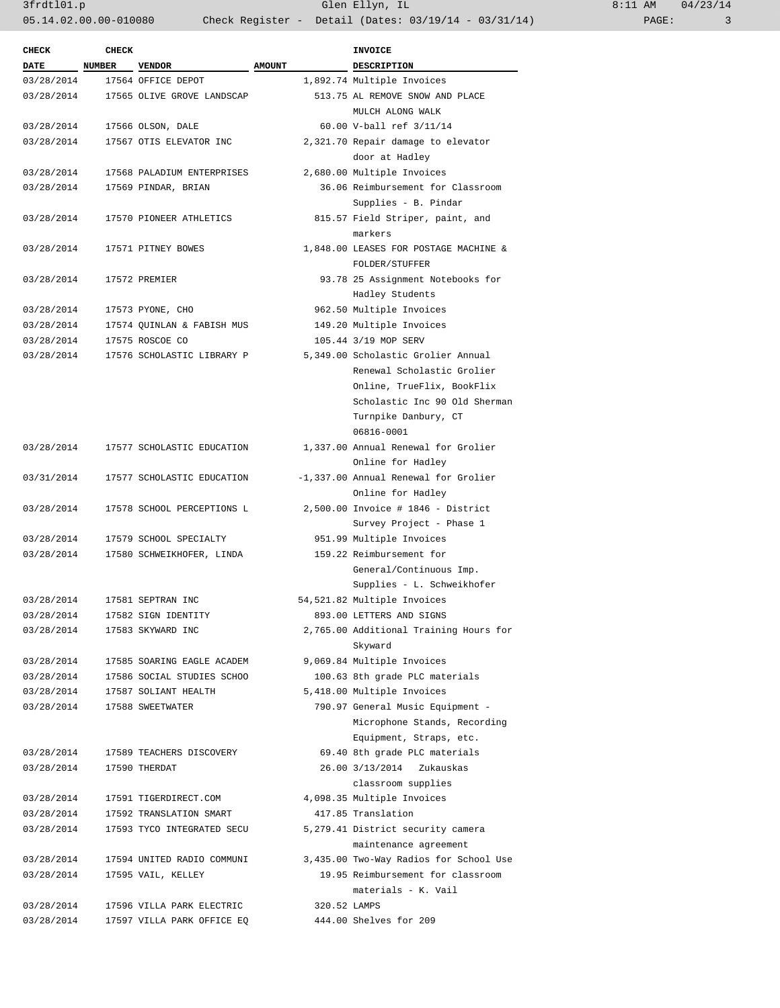3frdtl01.p Glen Ellyn, IL 8:11 AM 04/23/14 05.14.02.00.00-010080 Check Register - Detail (Dates: 03/19/14 - 03/31/14) PAGE: 3

| <b>CHECK</b>       | <b>CHECK</b> |                            |               | INVOICE                                |
|--------------------|--------------|----------------------------|---------------|----------------------------------------|
| DATE NUMBER VENDOR |              |                            | <b>AMOUNT</b> | DESCRIPTION                            |
| 03/28/2014         |              | 17564 OFFICE DEPOT         |               | 1,892.74 Multiple Invoices             |
| 03/28/2014         |              | 17565 OLIVE GROVE LANDSCAP |               | 513.75 AL REMOVE SNOW AND PLACE        |
|                    |              |                            |               | MULCH ALONG WALK                       |
| 03/28/2014         |              | 17566 OLSON, DALE          |               | 60.00 V-ball ref 3/11/14               |
| 03/28/2014         |              | 17567 OTIS ELEVATOR INC    |               | 2,321.70 Repair damage to elevator     |
|                    |              |                            |               | door at Hadley                         |
| 03/28/2014         |              | 17568 PALADIUM ENTERPRISES |               | 2,680.00 Multiple Invoices             |
| 03/28/2014         |              | 17569 PINDAR, BRIAN        |               | 36.06 Reimbursement for Classroom      |
|                    |              |                            |               | Supplies - B. Pindar                   |
| 03/28/2014         |              | 17570 PIONEER ATHLETICS    |               | 815.57 Field Striper, paint, and       |
|                    |              |                            |               | markers                                |
| 03/28/2014         |              | 17571 PITNEY BOWES         |               | 1,848.00 LEASES FOR POSTAGE MACHINE &  |
|                    |              |                            |               | FOLDER/STUFFER                         |
| 03/28/2014         |              |                            |               |                                        |
|                    |              | 17572 PREMIER              |               | 93.78 25 Assignment Notebooks for      |
|                    |              |                            |               | Hadley Students                        |
| 03/28/2014         |              | 17573 PYONE, CHO           |               | 962.50 Multiple Invoices               |
| 03/28/2014         |              | 17574 QUINLAN & FABISH MUS |               | 149.20 Multiple Invoices               |
| 03/28/2014         |              | 17575 ROSCOE CO            |               | 105.44 3/19 MOP SERV                   |
| 03/28/2014         |              | 17576 SCHOLASTIC LIBRARY P |               | 5,349.00 Scholastic Grolier Annual     |
|                    |              |                            |               | Renewal Scholastic Grolier             |
|                    |              |                            |               | Online, TrueFlix, BookFlix             |
|                    |              |                            |               | Scholastic Inc 90 Old Sherman          |
|                    |              |                            |               | Turnpike Danbury, CT                   |
|                    |              |                            |               | 06816-0001                             |
| 03/28/2014         |              | 17577 SCHOLASTIC EDUCATION |               | 1,337.00 Annual Renewal for Grolier    |
|                    |              |                            |               | Online for Hadley                      |
| 03/31/2014         |              | 17577 SCHOLASTIC EDUCATION |               | -1,337.00 Annual Renewal for Grolier   |
|                    |              |                            |               | Online for Hadley                      |
| 03/28/2014         |              | 17578 SCHOOL PERCEPTIONS L |               | 2,500.00 Invoice # 1846 - District     |
|                    |              |                            |               | Survey Project - Phase 1               |
| 03/28/2014         |              | 17579 SCHOOL SPECIALTY     |               | 951.99 Multiple Invoices               |
| 03/28/2014         |              | 17580 SCHWEIKHOFER, LINDA  |               | 159.22 Reimbursement for               |
|                    |              |                            |               | General/Continuous Imp.                |
|                    |              |                            |               | Supplies - L. Schweikhofer             |
| 03/28/2014         |              | 17581 SEPTRAN INC          |               | 54,521.82 Multiple Invoices            |
| 03/28/2014         |              | 17582 SIGN IDENTITY        |               | 893.00 LETTERS AND SIGNS               |
| 03/28/2014         |              | 17583 SKYWARD INC          |               | 2,765.00 Additional Training Hours for |
|                    |              |                            |               | Skyward                                |
| 03/28/2014         |              | 17585 SOARING EAGLE ACADEM |               | 9,069.84 Multiple Invoices             |
| 03/28/2014         |              | 17586 SOCIAL STUDIES SCHOO |               | 100.63 8th grade PLC materials         |
| 03/28/2014         |              | 17587 SOLIANT HEALTH       |               | 5,418.00 Multiple Invoices             |
| 03/28/2014         |              | 17588 SWEETWATER           |               | 790.97 General Music Equipment -       |
|                    |              |                            |               | Microphone Stands, Recording           |
|                    |              |                            |               | Equipment, Straps, etc.                |
| 03/28/2014         |              | 17589 TEACHERS DISCOVERY   |               | 69.40 8th grade PLC materials          |
| 03/28/2014         |              | 17590 THERDAT              |               | 26.00 3/13/2014<br>Zukauskas           |
|                    |              |                            |               | classroom supplies                     |
| 03/28/2014         |              | 17591 TIGERDIRECT.COM      |               | 4,098.35 Multiple Invoices             |
| 03/28/2014         |              | 17592 TRANSLATION SMART    |               | 417.85 Translation                     |
|                    |              |                            |               |                                        |
| 03/28/2014         |              | 17593 TYCO INTEGRATED SECU |               | 5,279.41 District security camera      |
|                    |              |                            |               | maintenance agreement                  |
| 03/28/2014         |              | 17594 UNITED RADIO COMMUNI |               | 3,435.00 Two-Way Radios for School Use |
| 03/28/2014         |              | 17595 VAIL, KELLEY         |               | 19.95 Reimbursement for classroom      |
|                    |              |                            |               | materials - K. Vail                    |
| 03/28/2014         |              | 17596 VILLA PARK ELECTRIC  | 320.52 LAMPS  |                                        |
| 03/28/2014         |              | 17597 VILLA PARK OFFICE EQ |               | 444.00 Shelves for 209                 |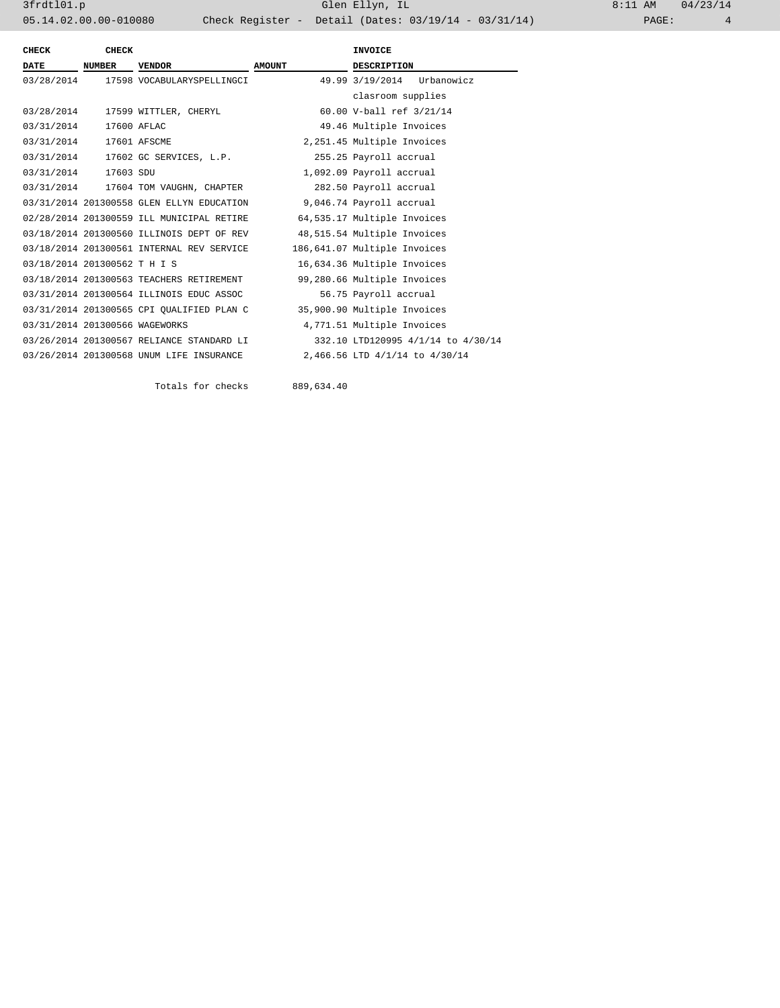| CHECK                          | <b>CHECK</b>  |                                                                    |               | <b>INVOICE</b>                     |
|--------------------------------|---------------|--------------------------------------------------------------------|---------------|------------------------------------|
| <b>DATE</b>                    | <b>NUMBER</b> | <b>VENDOR</b>                                                      | <b>AMOUNT</b> | <b>DESCRIPTION</b>                 |
| 03/28/2014                     |               | 17598 VOCABULARYSPELLINGCI                                         |               | 49.99 3/19/2014<br>Urbanowicz      |
|                                |               |                                                                    |               | clasroom supplies                  |
|                                |               | 03/28/2014 17599 WITTLER, CHERYL                                   |               | 60.00 V-ball ref 3/21/14           |
| 03/31/2014 17600 AFLAC         |               |                                                                    |               | 49.46 Multiple Invoices            |
| 03/31/2014 17601 AFSCME        |               |                                                                    |               | 2,251.45 Multiple Invoices         |
|                                |               | 03/31/2014 17602 GC SERVICES, L.P.                                 |               | 255.25 Payroll accrual             |
| 03/31/2014 17603 SDU           |               |                                                                    |               | 1,092.09 Payroll accrual           |
|                                |               | 03/31/2014 17604 TOM VAUGHN, CHAPTER                               |               | 282.50 Payroll accrual             |
|                                |               | 03/31/2014 201300558 GLEN ELLYN EDUCATION 9,046.74 Payroll accrual |               |                                    |
|                                |               | 02/28/2014 201300559 ILL MUNICIPAL RETIRE                          |               | 64,535.17 Multiple Invoices        |
|                                |               | 03/18/2014 201300560 ILLINOIS DEPT OF REV                          |               | 48,515.54 Multiple Invoices        |
|                                |               | 03/18/2014 201300561 INTERNAL REV SERVICE                          |               | 186,641.07 Multiple Invoices       |
| 03/18/2014 201300562 T H I S   |               |                                                                    |               | 16,634.36 Multiple Invoices        |
|                                |               | 03/18/2014 201300563 TEACHERS RETIREMENT                           |               | 99,280.66 Multiple Invoices        |
|                                |               | 03/31/2014 201300564 ILLINOIS EDUC ASSOC                           |               | 56.75 Payroll accrual              |
|                                |               | 03/31/2014 201300565 CPI OUALIFIED PLAN C                          |               | 35,900.90 Multiple Invoices        |
| 03/31/2014 201300566 WAGEWORKS |               |                                                                    |               | 4,771.51 Multiple Invoices         |
|                                |               | 03/26/2014 201300567 RELIANCE STANDARD LI                          |               | 332.10 LTD120995 4/1/14 to 4/30/14 |
|                                |               | 03/26/2014 201300568 UNUM LIFE INSURANCE                           |               | 2,466.56 LTD 4/1/14 to 4/30/14     |

Totals for checks 889,634.40